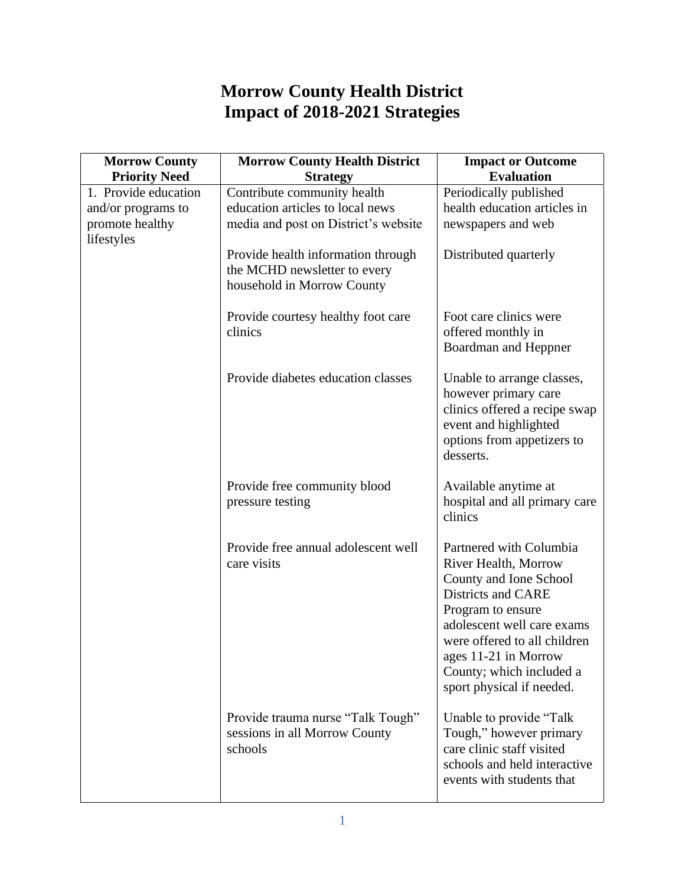## **Morrow County Health District Impact of 2018-2021 Strategies**

| <b>Morrow County</b>                                                        | <b>Morrow County Health District</b>                                                                                                          | <b>Impact or Outcome</b>                                                                                                                                                                                                                                            |
|-----------------------------------------------------------------------------|-----------------------------------------------------------------------------------------------------------------------------------------------|---------------------------------------------------------------------------------------------------------------------------------------------------------------------------------------------------------------------------------------------------------------------|
| <b>Priority Need</b>                                                        | <b>Strategy</b>                                                                                                                               | <b>Evaluation</b>                                                                                                                                                                                                                                                   |
| 1. Provide education<br>and/or programs to<br>promote healthy<br>lifestyles | Contribute community health<br>education articles to local news<br>media and post on District's website<br>Provide health information through | Periodically published<br>health education articles in<br>newspapers and web<br>Distributed quarterly                                                                                                                                                               |
|                                                                             | the MCHD newsletter to every<br>household in Morrow County                                                                                    |                                                                                                                                                                                                                                                                     |
|                                                                             | Provide courtesy healthy foot care<br>clinics                                                                                                 | Foot care clinics were<br>offered monthly in<br>Boardman and Heppner                                                                                                                                                                                                |
|                                                                             | Provide diabetes education classes                                                                                                            | Unable to arrange classes,<br>however primary care<br>clinics offered a recipe swap<br>event and highlighted<br>options from appetizers to<br>desserts.                                                                                                             |
|                                                                             | Provide free community blood<br>pressure testing                                                                                              | Available anytime at<br>hospital and all primary care<br>clinics                                                                                                                                                                                                    |
|                                                                             | Provide free annual adolescent well<br>care visits                                                                                            | Partnered with Columbia<br>River Health, Morrow<br>County and Ione School<br>Districts and CARE<br>Program to ensure<br>adolescent well care exams<br>were offered to all children<br>ages 11-21 in Morrow<br>County; which included a<br>sport physical if needed. |
|                                                                             | Provide trauma nurse "Talk Tough"<br>sessions in all Morrow County<br>schools                                                                 | Unable to provide "Talk"<br>Tough," however primary<br>care clinic staff visited<br>schools and held interactive<br>events with students that                                                                                                                       |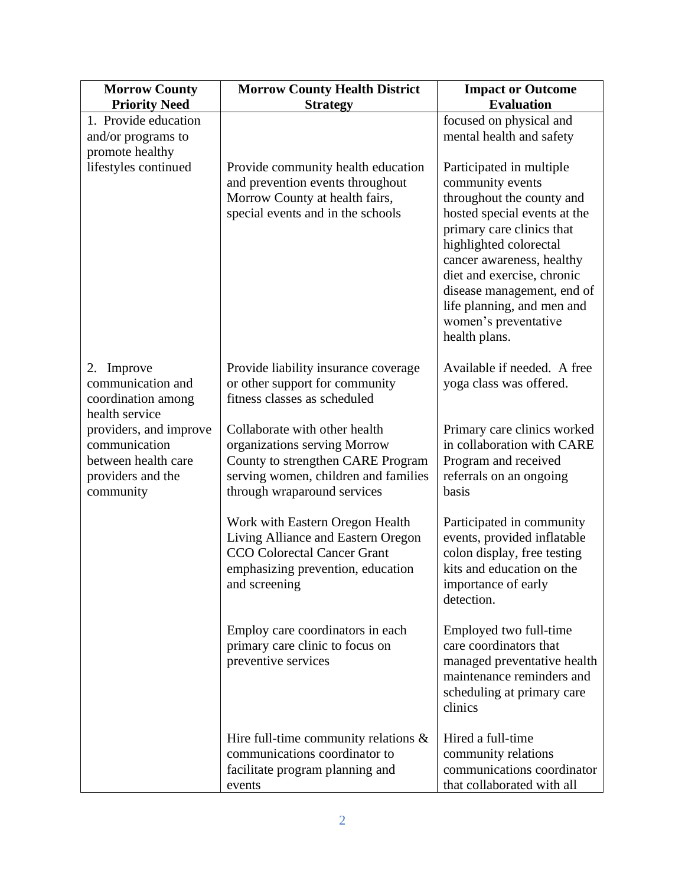| <b>Morrow County</b>                  | <b>Morrow County Health District</b>                                     | <b>Impact or Outcome</b>                                   |
|---------------------------------------|--------------------------------------------------------------------------|------------------------------------------------------------|
| <b>Priority Need</b>                  | <b>Strategy</b>                                                          | <b>Evaluation</b>                                          |
| 1. Provide education                  |                                                                          | focused on physical and                                    |
| and/or programs to<br>promote healthy |                                                                          | mental health and safety                                   |
| lifestyles continued                  | Provide community health education                                       | Participated in multiple                                   |
|                                       | and prevention events throughout                                         | community events                                           |
|                                       | Morrow County at health fairs,                                           | throughout the county and                                  |
|                                       | special events and in the schools                                        | hosted special events at the                               |
|                                       |                                                                          | primary care clinics that                                  |
|                                       |                                                                          | highlighted colorectal                                     |
|                                       |                                                                          | cancer awareness, healthy<br>diet and exercise, chronic    |
|                                       |                                                                          | disease management, end of                                 |
|                                       |                                                                          | life planning, and men and                                 |
|                                       |                                                                          | women's preventative                                       |
|                                       |                                                                          | health plans.                                              |
| Improve<br>2.                         | Provide liability insurance coverage                                     | Available if needed. A free                                |
| communication and                     | or other support for community                                           | yoga class was offered.                                    |
| coordination among                    | fitness classes as scheduled                                             |                                                            |
| health service                        |                                                                          |                                                            |
| providers, and improve                | Collaborate with other health                                            | Primary care clinics worked                                |
| communication<br>between health care  | organizations serving Morrow<br>County to strengthen CARE Program        | in collaboration with CARE<br>Program and received         |
| providers and the                     | serving women, children and families                                     | referrals on an ongoing                                    |
| community                             | through wraparound services                                              | basis                                                      |
|                                       |                                                                          |                                                            |
|                                       | Work with Eastern Oregon Health                                          | Participated in community                                  |
|                                       | Living Alliance and Eastern Oregon<br><b>CCO</b> Colorectal Cancer Grant | events, provided inflatable<br>colon display, free testing |
|                                       | emphasizing prevention, education                                        | kits and education on the                                  |
|                                       | and screening                                                            | importance of early                                        |
|                                       |                                                                          | detection.                                                 |
|                                       | Employ care coordinators in each                                         | Employed two full-time                                     |
|                                       | primary care clinic to focus on                                          | care coordinators that                                     |
|                                       | preventive services                                                      | managed preventative health                                |
|                                       |                                                                          | maintenance reminders and                                  |
|                                       |                                                                          | scheduling at primary care<br>clinics                      |
|                                       |                                                                          |                                                            |
|                                       | Hire full-time community relations $\&$                                  | Hired a full-time                                          |
|                                       | communications coordinator to                                            | community relations                                        |
|                                       | facilitate program planning and                                          | communications coordinator                                 |
|                                       | events                                                                   | that collaborated with all                                 |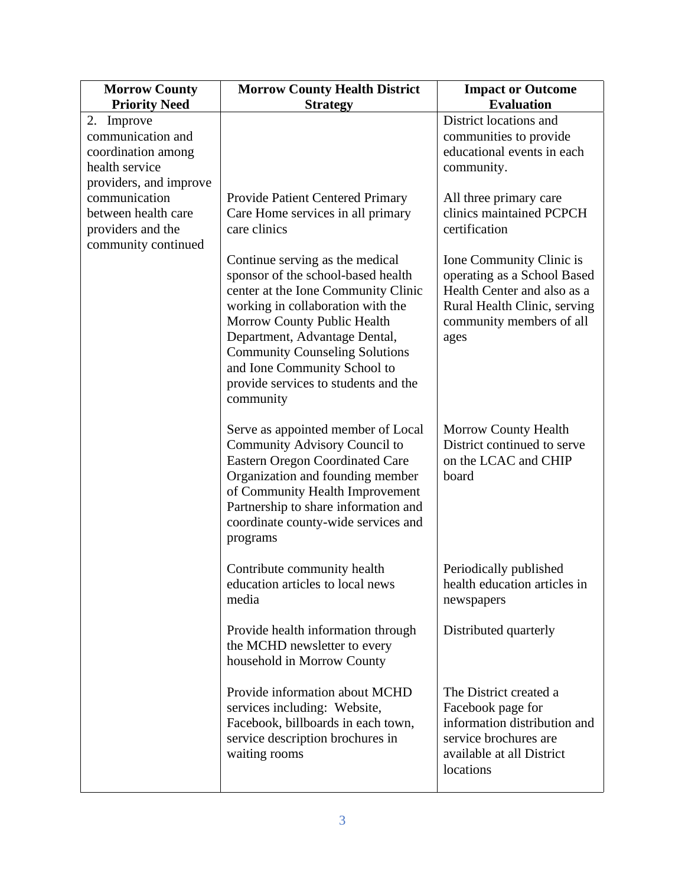| <b>Morrow County</b>                                                                                       | <b>Morrow County Health District</b>                                                                                                                                                                                                                                                                                                            | <b>Impact or Outcome</b>                                                                                                                                   |
|------------------------------------------------------------------------------------------------------------|-------------------------------------------------------------------------------------------------------------------------------------------------------------------------------------------------------------------------------------------------------------------------------------------------------------------------------------------------|------------------------------------------------------------------------------------------------------------------------------------------------------------|
| <b>Priority Need</b>                                                                                       | <b>Strategy</b>                                                                                                                                                                                                                                                                                                                                 | <b>Evaluation</b>                                                                                                                                          |
| 2. Improve<br>communication and<br>coordination among<br>health service                                    |                                                                                                                                                                                                                                                                                                                                                 | District locations and<br>communities to provide<br>educational events in each<br>community.                                                               |
| providers, and improve<br>communication<br>between health care<br>providers and the<br>community continued | <b>Provide Patient Centered Primary</b><br>Care Home services in all primary<br>care clinics                                                                                                                                                                                                                                                    | All three primary care<br>clinics maintained PCPCH<br>certification                                                                                        |
|                                                                                                            | Continue serving as the medical<br>sponsor of the school-based health<br>center at the Ione Community Clinic<br>working in collaboration with the<br>Morrow County Public Health<br>Department, Advantage Dental,<br><b>Community Counseling Solutions</b><br>and Ione Community School to<br>provide services to students and the<br>community | Ione Community Clinic is<br>operating as a School Based<br>Health Center and also as a<br>Rural Health Clinic, serving<br>community members of all<br>ages |
|                                                                                                            | Serve as appointed member of Local<br>Community Advisory Council to<br><b>Eastern Oregon Coordinated Care</b><br>Organization and founding member<br>of Community Health Improvement<br>Partnership to share information and<br>coordinate county-wide services and<br>programs                                                                 | <b>Morrow County Health</b><br>District continued to serve<br>on the LCAC and CHIP<br>board                                                                |
|                                                                                                            | Contribute community health<br>education articles to local news<br>media                                                                                                                                                                                                                                                                        | Periodically published<br>health education articles in<br>newspapers                                                                                       |
|                                                                                                            | Provide health information through<br>the MCHD newsletter to every<br>household in Morrow County                                                                                                                                                                                                                                                | Distributed quarterly                                                                                                                                      |
|                                                                                                            | Provide information about MCHD<br>services including: Website,<br>Facebook, billboards in each town,<br>service description brochures in<br>waiting rooms                                                                                                                                                                                       | The District created a<br>Facebook page for<br>information distribution and<br>service brochures are<br>available at all District<br>locations             |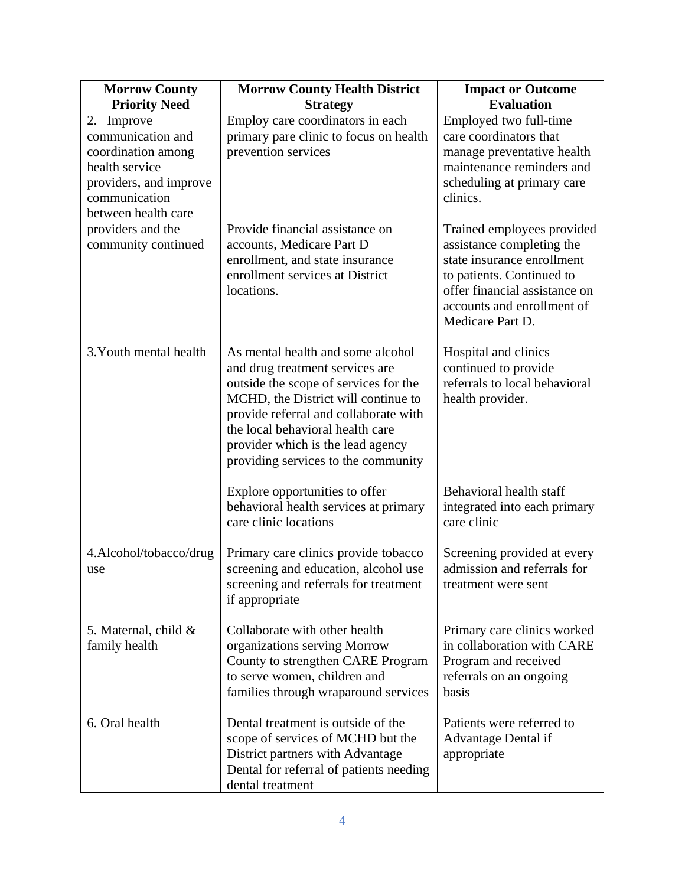| <b>Morrow County</b>                                                                                                                      | <b>Morrow County Health District</b>                                                                                                                                                                                                                                                                          | <b>Impact or Outcome</b>                                                                                                                                                                              |
|-------------------------------------------------------------------------------------------------------------------------------------------|---------------------------------------------------------------------------------------------------------------------------------------------------------------------------------------------------------------------------------------------------------------------------------------------------------------|-------------------------------------------------------------------------------------------------------------------------------------------------------------------------------------------------------|
| <b>Priority Need</b>                                                                                                                      | <b>Strategy</b>                                                                                                                                                                                                                                                                                               | <b>Evaluation</b>                                                                                                                                                                                     |
| 2. Improve<br>communication and<br>coordination among<br>health service<br>providers, and improve<br>communication<br>between health care | Employ care coordinators in each<br>primary pare clinic to focus on health<br>prevention services                                                                                                                                                                                                             | Employed two full-time<br>care coordinators that<br>manage preventative health<br>maintenance reminders and<br>scheduling at primary care<br>clinics.                                                 |
| providers and the<br>community continued                                                                                                  | Provide financial assistance on<br>accounts, Medicare Part D<br>enrollment, and state insurance<br>enrollment services at District<br>locations.                                                                                                                                                              | Trained employees provided<br>assistance completing the<br>state insurance enrollment<br>to patients. Continued to<br>offer financial assistance on<br>accounts and enrollment of<br>Medicare Part D. |
| 3. Youth mental health                                                                                                                    | As mental health and some alcohol<br>and drug treatment services are<br>outside the scope of services for the<br>MCHD, the District will continue to<br>provide referral and collaborate with<br>the local behavioral health care<br>provider which is the lead agency<br>providing services to the community | Hospital and clinics<br>continued to provide<br>referrals to local behavioral<br>health provider.                                                                                                     |
|                                                                                                                                           | Explore opportunities to offer<br>behavioral health services at primary<br>care clinic locations                                                                                                                                                                                                              | Behavioral health staff<br>integrated into each primary<br>care clinic                                                                                                                                |
| 4.Alcohol/tobacco/drug<br>use                                                                                                             | Primary care clinics provide tobacco<br>screening and education, alcohol use<br>screening and referrals for treatment<br>if appropriate                                                                                                                                                                       | Screening provided at every<br>admission and referrals for<br>treatment were sent                                                                                                                     |
| 5. Maternal, child $\&$<br>family health                                                                                                  | Collaborate with other health<br>organizations serving Morrow<br>County to strengthen CARE Program<br>to serve women, children and<br>families through wraparound services                                                                                                                                    | Primary care clinics worked<br>in collaboration with CARE<br>Program and received<br>referrals on an ongoing<br>basis                                                                                 |
| 6. Oral health                                                                                                                            | Dental treatment is outside of the<br>scope of services of MCHD but the<br>District partners with Advantage<br>Dental for referral of patients needing<br>dental treatment                                                                                                                                    | Patients were referred to<br>Advantage Dental if<br>appropriate                                                                                                                                       |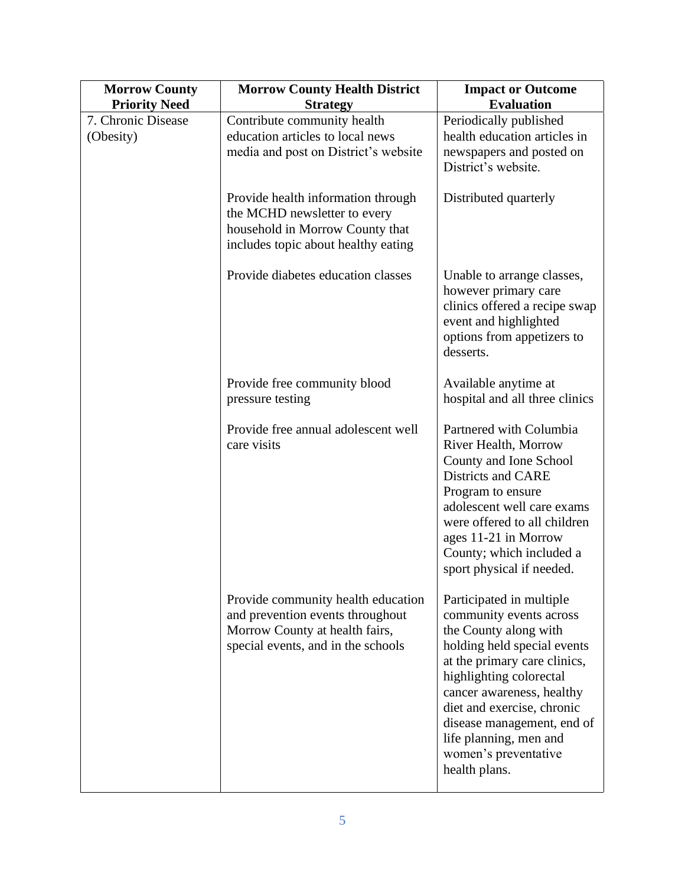| <b>Morrow County</b> | <b>Morrow County Health District</b>                                                                                                           | <b>Impact or Outcome</b>                                                                                                                                                                                                                                                                                                           |
|----------------------|------------------------------------------------------------------------------------------------------------------------------------------------|------------------------------------------------------------------------------------------------------------------------------------------------------------------------------------------------------------------------------------------------------------------------------------------------------------------------------------|
| <b>Priority Need</b> | <b>Strategy</b>                                                                                                                                | <b>Evaluation</b>                                                                                                                                                                                                                                                                                                                  |
| 7. Chronic Disease   | Contribute community health                                                                                                                    | Periodically published                                                                                                                                                                                                                                                                                                             |
| (Obesity)            | education articles to local news<br>media and post on District's website                                                                       | health education articles in                                                                                                                                                                                                                                                                                                       |
|                      |                                                                                                                                                | newspapers and posted on<br>District's website.                                                                                                                                                                                                                                                                                    |
|                      | Provide health information through<br>the MCHD newsletter to every<br>household in Morrow County that<br>includes topic about healthy eating   | Distributed quarterly                                                                                                                                                                                                                                                                                                              |
|                      | Provide diabetes education classes                                                                                                             | Unable to arrange classes,<br>however primary care<br>clinics offered a recipe swap<br>event and highlighted<br>options from appetizers to<br>desserts.                                                                                                                                                                            |
|                      | Provide free community blood<br>pressure testing                                                                                               | Available anytime at<br>hospital and all three clinics                                                                                                                                                                                                                                                                             |
|                      | Provide free annual adolescent well<br>care visits                                                                                             | Partnered with Columbia<br>River Health, Morrow<br>County and Ione School<br><b>Districts and CARE</b><br>Program to ensure<br>adolescent well care exams<br>were offered to all children<br>ages 11-21 in Morrow<br>County; which included a<br>sport physical if needed.                                                         |
|                      | Provide community health education<br>and prevention events throughout<br>Morrow County at health fairs,<br>special events, and in the schools | Participated in multiple<br>community events across<br>the County along with<br>holding held special events<br>at the primary care clinics,<br>highlighting colorectal<br>cancer awareness, healthy<br>diet and exercise, chronic<br>disease management, end of<br>life planning, men and<br>women's preventative<br>health plans. |